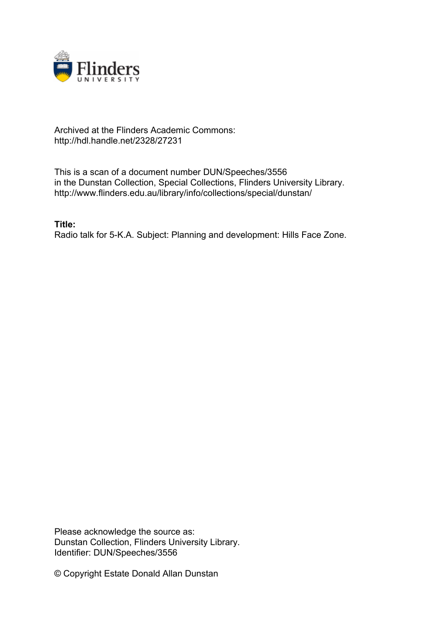

## Archived at the Flinders Academic Commons: http://hdl.handle.net/2328/27231

This is a scan of a document number DUN/Speeches/3556 in the Dunstan Collection, Special Collections, Flinders University Library. http://www.flinders.edu.au/library/info/collections/special/dunstan/

**Title:**

Radio talk for 5-K.A. Subject: Planning and development: Hills Face Zone.

Please acknowledge the source as: Dunstan Collection, Flinders University Library. Identifier: DUN/Speeches/3556

© Copyright Estate Donald Allan Dunstan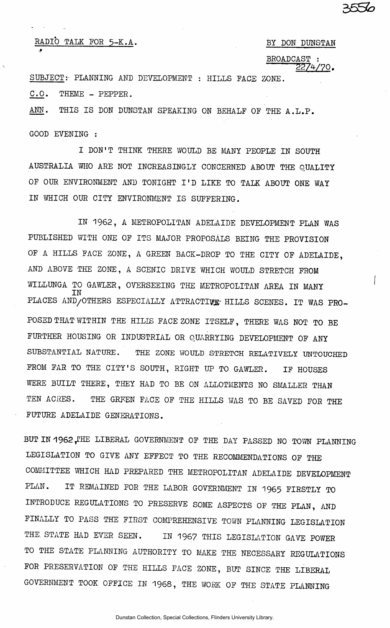**عحدى** 

## RADIO TALK FOR 5-K.A. BY DON DUNSTAN

 $\frac{\text{BROADCAST}}{2274/70}$ .

SUBJECT: PLANNING AND DEVELOPMENT : HILLS FACE ZONE.

C.O. THEME - PEPPER.

ANN. THIS IS DON DUNSTAN SPEAKING ON BEHALF OF THE A.L.P.

, which is a set of the contract of the contract of the contract of the contract of the contract of the contract of the contract of the contract of the contract of the contract of the contract of the contract of the contr

GOOD EVENING :

I DON'T THINK THERE WOULD BE MANY PEOPLE IN SOUTH AUSTRALIA WHO ARE NOT INCREASINGLY CONCERNED ABOUT THE QUALITY OF OUR ENVIRONMENT AND TONIGHT I'D LIKE TO TALK ABOUT ONE WAY IN WHICH OUR CITY ENVIRONMENT IS SUFFERING.

IN 1962, A METROPOLITAN ADELAIDE DEVELOPMENT PLAN WAS PUBLISHED WITH ONE OF ITS MAJOR PROPOSALS BEING THE PROVISION OF A HILLS FACE ZONE, A GREEN BACK-DROP TO THE CITY OF ADELAIDE, AND ABOVE THE ZONE, A SCENIC DRIVE WHICH WOULD STRETCH FROM WILLUNGA TO GAWLER, OVERSEEING THE METROPOLITAN AREA IN MANY IN PLACES AND/OTHERS ESPECIALLY ATTRACTIVE HILLS SCENES. IT WAS PRO-POSED THAT WITHIN THE HILIS FACE ZONE ITSELF, THERE WAS NOT TO BE FURTHER HOUSING OR INDUSTRIAL OR QUARRYING DEVELOPMENT OF ANY SUBSTANTIAL NATURE. THE ZONE WOULD STRETCH RELATIVELY UNTOUCHED FROM FAR TO THE CITY'S SOUTH, RIGHT UP TO GAWLER. IF HOUSES WERE BUILT THERE, THEY HAD TO BE ON ALLOTMENTS NO SMALLER THAN TEN ACRES. THE GREEN FACE OF THE HILLS WAS TO BE SAVED FOR THE FUTURE ADELAIDE GENERATIONS.

BUT IN 1962, THE LIBERAL GOVERNMENT OF THE DAY PASSED NO TOWN PLANNING LEGISLATION TO GIVE ANY EFFECT TO THE RECOMMENDATIONS OF THE COMMITTEE WHICH HAD PREPARED THE METROPOLITAN ADELAIDE DEVELOPMENT PLAN. IT REMAINED FOR THE LABOR GOVERNMENT IN 1965 FIRSTLY TO INTRODUCE REGULATIONS TO PRESERVE SOME ASPECTS OF THE PLAN, AND FINALLY TO PASS THE FIRST COMPREHENSIVE TOWN PLANNING LEGISLATION THE STATE HAD EVER SEEN. IN 1967 THIS LEGISLATION GAVE POWER TO THE STATE PLANNING AUTHORITY TO MAKE THE NECESSARY REGULATIONS FOR PRESERVATION OF THE HILLS FACE ZONE, BUT SINCE THE LIBERAL GOVERNMENT TOOK OFFICE IN 1968, THE WORK OF THE STATE PLANNING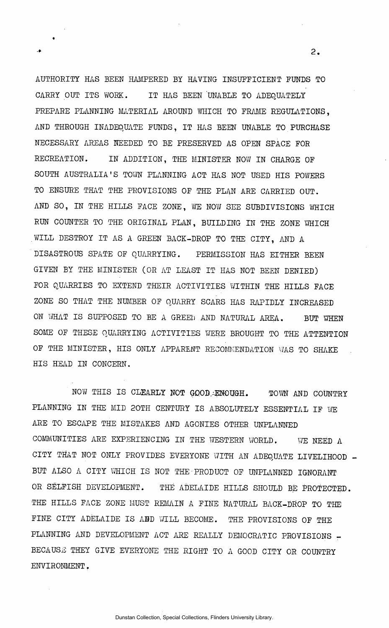AUTHORITY HAS BEEN HAMPERED BY HAVING INSUFFICIENT FUNDS TO CARRY OUT ITS WORK. IT HAS BEEN 'UNABLE TO ADEQUATELY PREPARE PLANNING MATERIAL AROUND WHICH TO FRAME REGULATIONS. AND THROUGH INADEQUATE FUNDS, IT HAS BEEN UNABLE TO PURCHASE NECESSARY AREAS NEEDED TO BE PRESERVED AS OPEN SPACE FOR RECREATION. IN ADDITION, THE MINISTER NOW IN CHARGE OF SOUTH AUSTRALIA'S TOWN PLANNING ACT HAS NOT USED HIS POWERS TO ENSURE THAT THE PROVISIONS OF THE PLAN ARE CARRIED OUT. AND SO, IN THE HILLS FACE ZONE, WE NOW SEE SUBDIVISIONS WHICH RUN COUNTER TO THE ORIGINAL PLAN, BUILDING IN THE ZONE WHICH .WILL DESTROY IT AS A GREEN BACK-DROP TO THE CITY, AND A DISASTROUS SPATE OF QUARRYING. PERMISSION HAS EITHER BEEN GIVEN BY THE MINISTER (OR AT LEAST IT HAS NOT BEEN DENIED) FOR QUARRIES TO EXTEND THEIR ACTIVITIES WITHIN THE HILLS FACE ZONE SO THAT THE NUMBER OF QUARRY SCARS HAS RAPIDLY INCREASED ON WHAT IS SUPPOSED TO BE A GREEN AND NATURAL AREA. BUT WHEN SOME OF THESE QUARRYING ACTIVITIES WERE BROUGHT TO THE ATTENTION OF THE MINISTER, HIS ONLY APPARENT RECOMMENDATION WAS TO SHAKE HIS HEAD IN CONCERN.

NOW THIS IS CLEARLY NOT GOOD,•ENOUGH. TOWN AND COUNTRY PLANNING IN THE MID 20TH CENTURY IS ABSOLUTELY ESSENTIAL IF WE ARE TO ESCAPE THE MISTAKES AND AGONIES OTHER UNPLANNED COMMUNITIES ARE EXPERIENCING IN THE WESTERN WORLD. WE NEED A CITY THAT NOT ONLY PROVIDES EVERYONE WITH AN ADEQUATE LIVELIHOOD BUT ALSO A CITY WHICH IS NOT THE PRODUCT OF UNPLANNED IGNORANT OR SELFISH DEVELOPMENT. THE ADELAIDE HILLS SHOULD BE PROTECTED. THE HILLS FACE ZONE MUST REMAIN A FINE NATURAL BACK-DROP TO THE FINE CITY ADELAIDE IS ABD WILL BECOME. THE PROVISIONS OF THE PLANNING AND DEVELOPMENT ACT ARE REALLY DEMOCRATIC PROVISIONS -BECAUSE THEY GIVE EVERYONE THE RIGHT TO A GOOD CITY OR COUNTRY ENVIRONMENT.

 $2.$